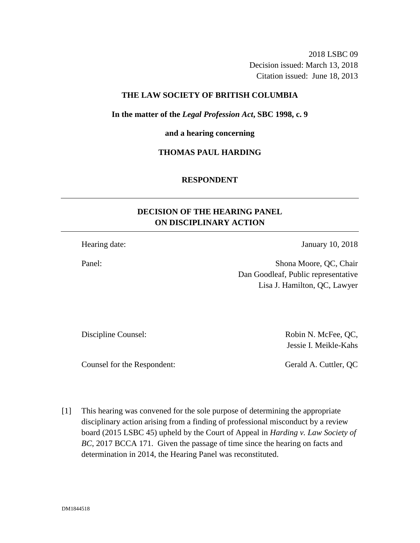2018 LSBC 09 Decision issued: March 13, 2018 Citation issued: June 18, 2013

### **THE LAW SOCIETY OF BRITISH COLUMBIA**

**In the matter of the** *Legal Profession Act***, SBC 1998, c. 9** 

**and a hearing concerning**

## **THOMAS PAUL HARDING**

### **RESPONDENT**

# **DECISION OF THE HEARING PANEL ON DISCIPLINARY ACTION**

Hearing date: January 10, 2018

Panel: Shona Moore, QC, Chair Dan Goodleaf, Public representative Lisa J. Hamilton, QC, Lawyer

Discipline Counsel:  $Robin N.$  McFee, QC,

Jessie I. Meikle-Kahs

Counsel for the Respondent: Gerald A. Cuttler, QC

[1] This hearing was convened for the sole purpose of determining the appropriate disciplinary action arising from a finding of professional misconduct by a review board (2015 LSBC 45) upheld by the Court of Appeal in *Harding v. Law Society of BC*, 2017 BCCA 171. Given the passage of time since the hearing on facts and determination in 2014, the Hearing Panel was reconstituted.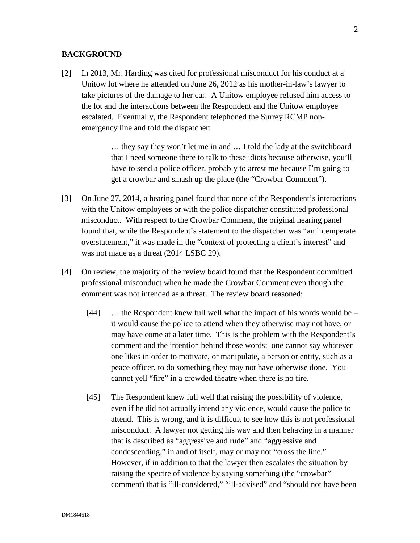### **BACKGROUND**

[2] In 2013, Mr. Harding was cited for professional misconduct for his conduct at a Unitow lot where he attended on June 26, 2012 as his mother-in-law's lawyer to take pictures of the damage to her car. A Unitow employee refused him access to the lot and the interactions between the Respondent and the Unitow employee escalated. Eventually, the Respondent telephoned the Surrey RCMP nonemergency line and told the dispatcher:

> … they say they won't let me in and … I told the lady at the switchboard that I need someone there to talk to these idiots because otherwise, you'll have to send a police officer, probably to arrest me because I'm going to get a crowbar and smash up the place (the "Crowbar Comment").

- [3] On June 27, 2014, a hearing panel found that none of the Respondent's interactions with the Unitow employees or with the police dispatcher constituted professional misconduct. With respect to the Crowbar Comment, the original hearing panel found that, while the Respondent's statement to the dispatcher was "an intemperate overstatement," it was made in the "context of protecting a client's interest" and was not made as a threat (2014 LSBC 29).
- [4] On review, the majority of the review board found that the Respondent committed professional misconduct when he made the Crowbar Comment even though the comment was not intended as a threat. The review board reasoned:
	- [44] ... the Respondent knew full well what the impact of his words would be it would cause the police to attend when they otherwise may not have, or may have come at a later time. This is the problem with the Respondent's comment and the intention behind those words: one cannot say whatever one likes in order to motivate, or manipulate, a person or entity, such as a peace officer, to do something they may not have otherwise done. You cannot yell "fire" in a crowded theatre when there is no fire.
	- [45] The Respondent knew full well that raising the possibility of violence, even if he did not actually intend any violence, would cause the police to attend. This is wrong, and it is difficult to see how this is not professional misconduct. A lawyer not getting his way and then behaving in a manner that is described as "aggressive and rude" and "aggressive and condescending," in and of itself, may or may not "cross the line." However, if in addition to that the lawyer then escalates the situation by raising the spectre of violence by saying something (the "crowbar" comment) that is "ill-considered," "ill-advised" and "should not have been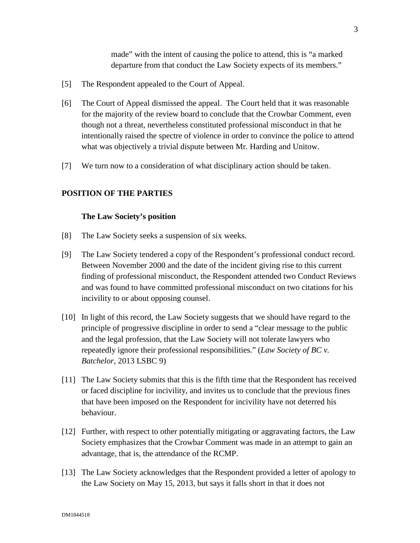made" with the intent of causing the police to attend, this is "a marked departure from that conduct the Law Society expects of its members."

- [5] The Respondent appealed to the Court of Appeal.
- [6] The Court of Appeal dismissed the appeal. The Court held that it was reasonable for the majority of the review board to conclude that the Crowbar Comment, even though not a threat, nevertheless constituted professional misconduct in that he intentionally raised the spectre of violence in order to convince the police to attend what was objectively a trivial dispute between Mr. Harding and Unitow.
- [7] We turn now to a consideration of what disciplinary action should be taken.

## **POSITION OF THE PARTIES**

### **The Law Society's position**

- [8] The Law Society seeks a suspension of six weeks.
- [9] The Law Society tendered a copy of the Respondent's professional conduct record. Between November 2000 and the date of the incident giving rise to this current finding of professional misconduct, the Respondent attended two Conduct Reviews and was found to have committed professional misconduct on two citations for his incivility to or about opposing counsel.
- [10] In light of this record, the Law Society suggests that we should have regard to the principle of progressive discipline in order to send a "clear message to the public and the legal profession, that the Law Society will not tolerate lawyers who repeatedly ignore their professional responsibilities." (*Law Society of BC v. Batchelor*, 2013 LSBC 9)
- [11] The Law Society submits that this is the fifth time that the Respondent has received or faced discipline for incivility, and invites us to conclude that the previous fines that have been imposed on the Respondent for incivility have not deterred his behaviour.
- [12] Further, with respect to other potentially mitigating or aggravating factors, the Law Society emphasizes that the Crowbar Comment was made in an attempt to gain an advantage, that is, the attendance of the RCMP.
- [13] The Law Society acknowledges that the Respondent provided a letter of apology to the Law Society on May 15, 2013, but says it falls short in that it does not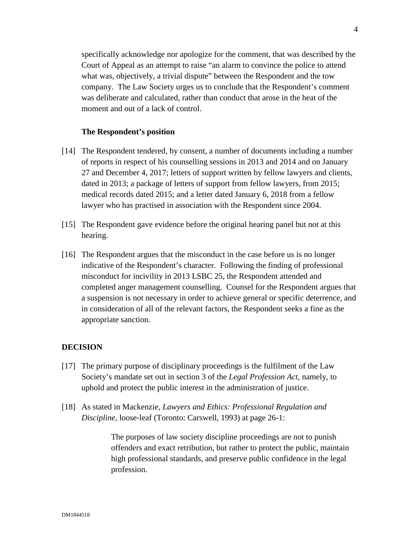specifically acknowledge nor apologize for the comment, that was described by the Court of Appeal as an attempt to raise "an alarm to convince the police to attend what was, objectively, a trivial dispute" between the Respondent and the tow company. The Law Society urges us to conclude that the Respondent's comment was deliberate and calculated, rather than conduct that arose in the heat of the moment and out of a lack of control.

### **The Respondent's position**

- [14] The Respondent tendered, by consent, a number of documents including a number of reports in respect of his counselling sessions in 2013 and 2014 and on January 27 and December 4, 2017; letters of support written by fellow lawyers and clients, dated in 2013; a package of letters of support from fellow lawyers, from 2015; medical records dated 2015; and a letter dated January 6, 2018 from a fellow lawyer who has practised in association with the Respondent since 2004.
- [15] The Respondent gave evidence before the original hearing panel but not at this hearing.
- [16] The Respondent argues that the misconduct in the case before us is no longer indicative of the Respondent's character. Following the finding of professional misconduct for incivility in 2013 LSBC 25, the Respondent attended and completed anger management counselling. Counsel for the Respondent argues that a suspension is not necessary in order to achieve general or specific deterrence, and in consideration of all of the relevant factors, the Respondent seeks a fine as the appropriate sanction.

### **DECISION**

- [17] The primary purpose of disciplinary proceedings is the fulfilment of the Law Society's mandate set out in section 3 of the *Legal Profession Act*, namely, to uphold and protect the public interest in the administration of justice.
- [18] As stated in Mackenzie*, Lawyers and Ethics: Professional Regulation and Discipline*, loose-leaf (Toronto: Carswell, 1993) at page 26-1:

The purposes of law society discipline proceedings are not to punish offenders and exact retribution, but rather to protect the public, maintain high professional standards, and preserve public confidence in the legal profession.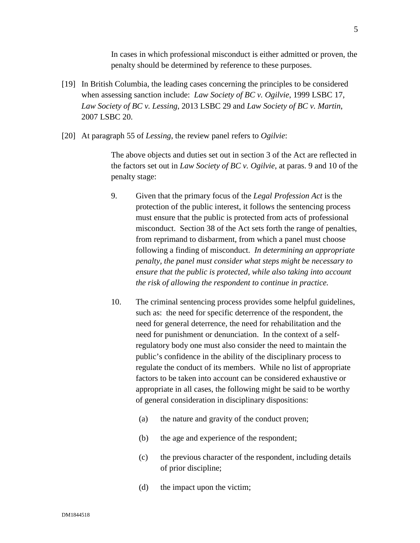In cases in which professional misconduct is either admitted or proven, the penalty should be determined by reference to these purposes.

- [19] In British Columbia, the leading cases concerning the principles to be considered when assessing sanction include: *Law Society of BC v. Ogilvie*, 1999 LSBC 17, *Law Society of BC v. Lessing*, 2013 LSBC 29 and *Law Society of BC v. Martin*, 2007 LSBC 20.
- [20] At paragraph 55 of *Lessing*, the review panel refers to *Ogilvie*:

The above objects and duties set out in section 3 of the Act are reflected in the factors set out in *Law Society of BC v. Ogilvie*, at paras. 9 and 10 of the penalty stage:

- 9. Given that the primary focus of the *Legal Profession Act* is the protection of the public interest, it follows the sentencing process must ensure that the public is protected from acts of professional misconduct. Section 38 of the Act sets forth the range of penalties, from reprimand to disbarment, from which a panel must choose following a finding of misconduct. *In determining an appropriate penalty, the panel must consider what steps might be necessary to ensure that the public is protected, while also taking into account the risk of allowing the respondent to continue in practice.*
- 10. The criminal sentencing process provides some helpful guidelines, such as: the need for specific deterrence of the respondent, the need for general deterrence, the need for rehabilitation and the need for punishment or denunciation. In the context of a selfregulatory body one must also consider the need to maintain the public's confidence in the ability of the disciplinary process to regulate the conduct of its members. While no list of appropriate factors to be taken into account can be considered exhaustive or appropriate in all cases, the following might be said to be worthy of general consideration in disciplinary dispositions:
	- (a) the nature and gravity of the conduct proven;
	- (b) the age and experience of the respondent;
	- (c) the previous character of the respondent, including details of prior discipline;
	- (d) the impact upon the victim;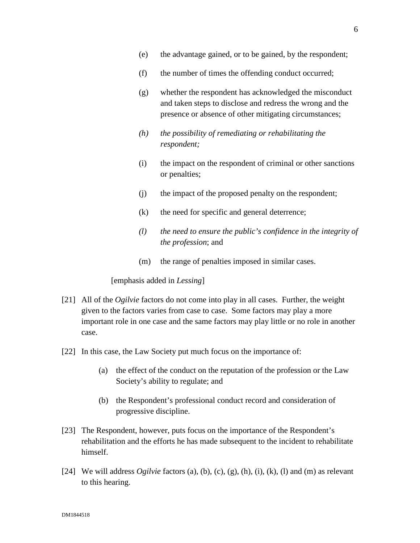- (e) the advantage gained, or to be gained, by the respondent;
- (f) the number of times the offending conduct occurred;
- (g) whether the respondent has acknowledged the misconduct and taken steps to disclose and redress the wrong and the presence or absence of other mitigating circumstances;
- *(h) the possibility of remediating or rehabilitating the respondent;*
- (i) the impact on the respondent of criminal or other sanctions or penalties;
- (j) the impact of the proposed penalty on the respondent;
- (k) the need for specific and general deterrence;
- *(l) the need to ensure the public's confidence in the integrity of the profession*; and
- (m) the range of penalties imposed in similar cases.

[emphasis added in *Lessing*]

- [21] All of the *Ogilvie* factors do not come into play in all cases. Further, the weight given to the factors varies from case to case. Some factors may play a more important role in one case and the same factors may play little or no role in another case.
- [22] In this case, the Law Society put much focus on the importance of:
	- (a) the effect of the conduct on the reputation of the profession or the Law Society's ability to regulate; and
	- (b) the Respondent's professional conduct record and consideration of progressive discipline.
- [23] The Respondent, however, puts focus on the importance of the Respondent's rehabilitation and the efforts he has made subsequent to the incident to rehabilitate himself.
- [24] We will address *Ogilvie* factors (a), (b), (c), (g), (h), (i), (k), (l) and (m) as relevant to this hearing.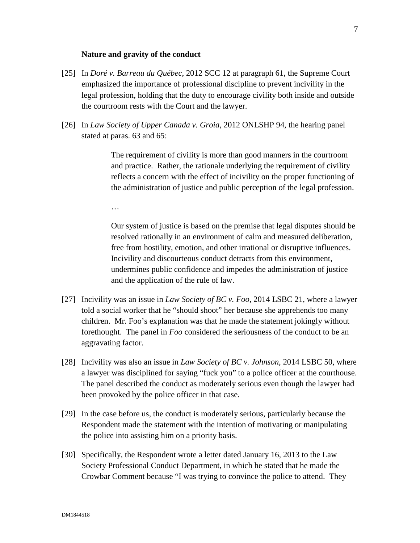#### **Nature and gravity of the conduct**

- [25] In *Doré v. Barreau du Québec*, 2012 SCC 12 at paragraph 61, the Supreme Court emphasized the importance of professional discipline to prevent incivility in the legal profession, holding that the duty to encourage civility both inside and outside the courtroom rests with the Court and the lawyer.
- [26] In *Law Society of Upper Canada v. Groia*, 2012 ONLSHP 94, the hearing panel stated at paras. 63 and 65:

The requirement of civility is more than good manners in the courtroom and practice. Rather, the rationale underlying the requirement of civility reflects a concern with the effect of incivility on the proper functioning of the administration of justice and public perception of the legal profession.

…

Our system of justice is based on the premise that legal disputes should be resolved rationally in an environment of calm and measured deliberation, free from hostility, emotion, and other irrational or disruptive influences. Incivility and discourteous conduct detracts from this environment, undermines public confidence and impedes the administration of justice and the application of the rule of law.

- [27] Incivility was an issue in *Law Society of BC v. Foo*, 2014 LSBC 21, where a lawyer told a social worker that he "should shoot" her because she apprehends too many children. Mr. Foo's explanation was that he made the statement jokingly without forethought. The panel in *Foo* considered the seriousness of the conduct to be an aggravating factor.
- [28] Incivility was also an issue in *Law Society of BC v. Johnson*, 2014 LSBC 50, where a lawyer was disciplined for saying "fuck you" to a police officer at the courthouse. The panel described the conduct as moderately serious even though the lawyer had been provoked by the police officer in that case.
- [29] In the case before us, the conduct is moderately serious, particularly because the Respondent made the statement with the intention of motivating or manipulating the police into assisting him on a priority basis.
- [30] Specifically, the Respondent wrote a letter dated January 16, 2013 to the Law Society Professional Conduct Department, in which he stated that he made the Crowbar Comment because "I was trying to convince the police to attend. They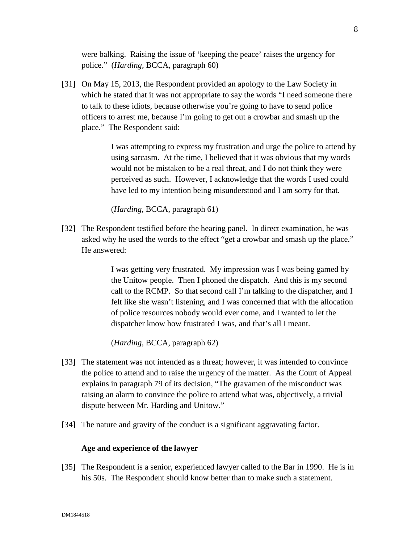were balking. Raising the issue of 'keeping the peace' raises the urgency for police." (*Harding,* BCCA, paragraph 60)

[31] On May 15, 2013, the Respondent provided an apology to the Law Society in which he stated that it was not appropriate to say the words "I need someone there to talk to these idiots, because otherwise you're going to have to send police officers to arrest me, because I'm going to get out a crowbar and smash up the place." The Respondent said:

> I was attempting to express my frustration and urge the police to attend by using sarcasm. At the time, I believed that it was obvious that my words would not be mistaken to be a real threat, and I do not think they were perceived as such. However, I acknowledge that the words I used could have led to my intention being misunderstood and I am sorry for that.

(*Harding*, BCCA, paragraph 61)

[32] The Respondent testified before the hearing panel. In direct examination, he was asked why he used the words to the effect "get a crowbar and smash up the place." He answered:

> I was getting very frustrated. My impression was I was being gamed by the Unitow people. Then I phoned the dispatch. And this is my second call to the RCMP. So that second call I'm talking to the dispatcher, and I felt like she wasn't listening, and I was concerned that with the allocation of police resources nobody would ever come, and I wanted to let the dispatcher know how frustrated I was, and that's all I meant.

(*Harding*, BCCA, paragraph 62)

- [33] The statement was not intended as a threat; however, it was intended to convince the police to attend and to raise the urgency of the matter. As the Court of Appeal explains in paragraph 79 of its decision, "The gravamen of the misconduct was raising an alarm to convince the police to attend what was, objectively, a trivial dispute between Mr. Harding and Unitow."
- [34] The nature and gravity of the conduct is a significant aggravating factor.

#### **Age and experience of the lawyer**

[35] The Respondent is a senior, experienced lawyer called to the Bar in 1990. He is in his 50s. The Respondent should know better than to make such a statement.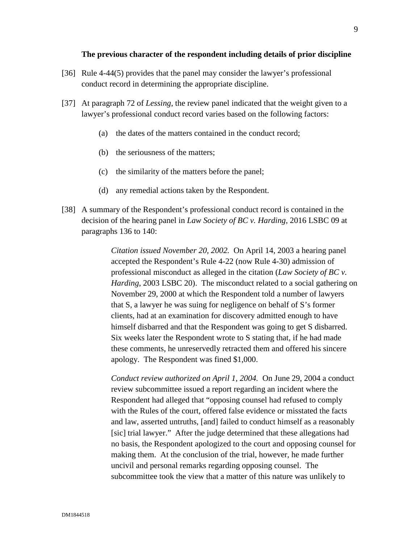#### **The previous character of the respondent including details of prior discipline**

- [36] Rule 4-44(5) provides that the panel may consider the lawyer's professional conduct record in determining the appropriate discipline.
- [37] At paragraph 72 of *Lessing*, the review panel indicated that the weight given to a lawyer's professional conduct record varies based on the following factors:
	- (a) the dates of the matters contained in the conduct record;
	- (b) the seriousness of the matters;
	- (c) the similarity of the matters before the panel;
	- (d) any remedial actions taken by the Respondent.
- [38] A summary of the Respondent's professional conduct record is contained in the decision of the hearing panel in *Law Society of BC v. Harding*, 2016 LSBC 09 at paragraphs 136 to 140:

*Citation issued November 20, 2002.* On April 14, 2003 a hearing panel accepted the Respondent's Rule 4-22 (now Rule 4-30) admission of professional misconduct as alleged in the citation (*Law Society of BC v. Harding*, 2003 LSBC 20). The misconduct related to a social gathering on November 29, 2000 at which the Respondent told a number of lawyers that S, a lawyer he was suing for negligence on behalf of S's former clients, had at an examination for discovery admitted enough to have himself disbarred and that the Respondent was going to get S disbarred. Six weeks later the Respondent wrote to S stating that, if he had made these comments, he unreservedly retracted them and offered his sincere apology. The Respondent was fined \$1,000.

*Conduct review authorized on April 1, 2004.* On June 29, 2004 a conduct review subcommittee issued a report regarding an incident where the Respondent had alleged that "opposing counsel had refused to comply with the Rules of the court, offered false evidence or misstated the facts and law, asserted untruths, [and] failed to conduct himself as a reasonably [sic] trial lawyer." After the judge determined that these allegations had no basis, the Respondent apologized to the court and opposing counsel for making them. At the conclusion of the trial, however, he made further uncivil and personal remarks regarding opposing counsel. The subcommittee took the view that a matter of this nature was unlikely to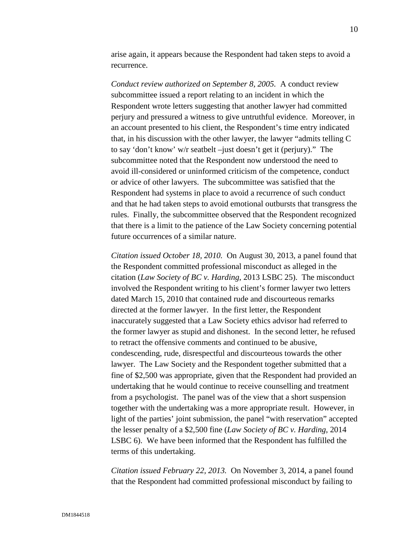arise again, it appears because the Respondent had taken steps to avoid a recurrence.

*Conduct review authorized on September 8, 2005.* A conduct review subcommittee issued a report relating to an incident in which the Respondent wrote letters suggesting that another lawyer had committed perjury and pressured a witness to give untruthful evidence. Moreover, in an account presented to his client, the Respondent's time entry indicated that, in his discussion with the other lawyer, the lawyer "admits telling C to say 'don't know' w/r seatbelt –just doesn't get it (perjury)." The subcommittee noted that the Respondent now understood the need to avoid ill-considered or uninformed criticism of the competence, conduct or advice of other lawyers. The subcommittee was satisfied that the Respondent had systems in place to avoid a recurrence of such conduct and that he had taken steps to avoid emotional outbursts that transgress the rules. Finally, the subcommittee observed that the Respondent recognized that there is a limit to the patience of the Law Society concerning potential future occurrences of a similar nature.

*Citation issued October 18, 2010.* On August 30, 2013, a panel found that the Respondent committed professional misconduct as alleged in the citation (*Law Society of BC v. Harding*, 2013 LSBC 25). The misconduct involved the Respondent writing to his client's former lawyer two letters dated March 15, 2010 that contained rude and discourteous remarks directed at the former lawyer. In the first letter, the Respondent inaccurately suggested that a Law Society ethics advisor had referred to the former lawyer as stupid and dishonest. In the second letter, he refused to retract the offensive comments and continued to be abusive, condescending, rude, disrespectful and discourteous towards the other lawyer. The Law Society and the Respondent together submitted that a fine of \$2,500 was appropriate, given that the Respondent had provided an undertaking that he would continue to receive counselling and treatment from a psychologist. The panel was of the view that a short suspension together with the undertaking was a more appropriate result. However, in light of the parties' joint submission, the panel "with reservation" accepted the lesser penalty of a \$2,500 fine (*Law Society of BC v. Harding*, 2014 LSBC 6). We have been informed that the Respondent has fulfilled the terms of this undertaking.

*Citation issued February 22, 2013.* On November 3, 2014, a panel found that the Respondent had committed professional misconduct by failing to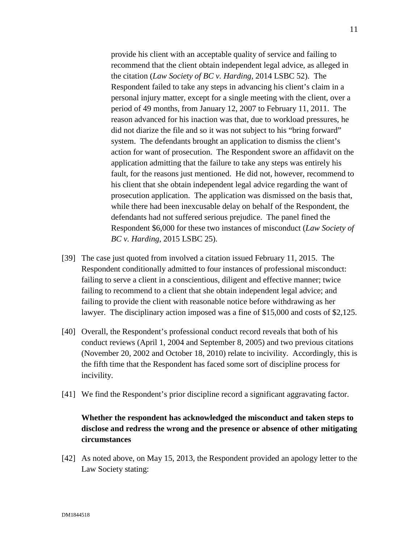provide his client with an acceptable quality of service and failing to recommend that the client obtain independent legal advice, as alleged in the citation (*Law Society of BC v. Harding*, 2014 LSBC 52). The Respondent failed to take any steps in advancing his client's claim in a personal injury matter, except for a single meeting with the client, over a period of 49 months, from January 12, 2007 to February 11, 2011. The reason advanced for his inaction was that, due to workload pressures, he did not diarize the file and so it was not subject to his "bring forward" system. The defendants brought an application to dismiss the client's action for want of prosecution. The Respondent swore an affidavit on the application admitting that the failure to take any steps was entirely his fault, for the reasons just mentioned. He did not, however, recommend to his client that she obtain independent legal advice regarding the want of prosecution application. The application was dismissed on the basis that, while there had been inexcusable delay on behalf of the Respondent, the defendants had not suffered serious prejudice. The panel fined the Respondent \$6,000 for these two instances of misconduct (*Law Society of BC v. Harding*, 2015 LSBC 25).

- [39] The case just quoted from involved a citation issued February 11, 2015. The Respondent conditionally admitted to four instances of professional misconduct: failing to serve a client in a conscientious, diligent and effective manner; twice failing to recommend to a client that she obtain independent legal advice; and failing to provide the client with reasonable notice before withdrawing as her lawyer. The disciplinary action imposed was a fine of \$15,000 and costs of \$2,125.
- [40] Overall, the Respondent's professional conduct record reveals that both of his conduct reviews (April 1, 2004 and September 8, 2005) and two previous citations (November 20, 2002 and October 18, 2010) relate to incivility. Accordingly, this is the fifth time that the Respondent has faced some sort of discipline process for incivility.
- [41] We find the Respondent's prior discipline record a significant aggravating factor.

# **Whether the respondent has acknowledged the misconduct and taken steps to disclose and redress the wrong and the presence or absence of other mitigating circumstances**

[42] As noted above, on May 15, 2013, the Respondent provided an apology letter to the Law Society stating: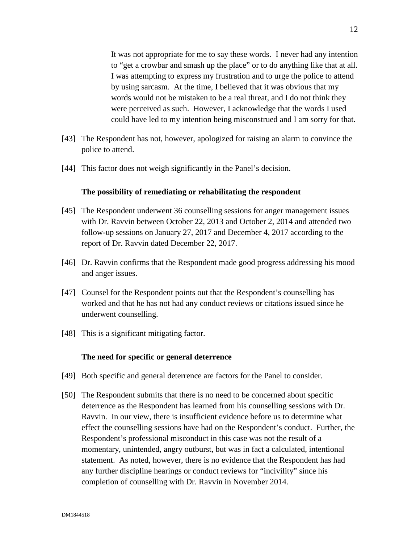It was not appropriate for me to say these words. I never had any intention to "get a crowbar and smash up the place" or to do anything like that at all. I was attempting to express my frustration and to urge the police to attend by using sarcasm. At the time, I believed that it was obvious that my words would not be mistaken to be a real threat, and I do not think they were perceived as such. However, I acknowledge that the words I used could have led to my intention being misconstrued and I am sorry for that.

- [43] The Respondent has not, however, apologized for raising an alarm to convince the police to attend.
- [44] This factor does not weigh significantly in the Panel's decision.

### **The possibility of remediating or rehabilitating the respondent**

- [45] The Respondent underwent 36 counselling sessions for anger management issues with Dr. Ravvin between October 22, 2013 and October 2, 2014 and attended two follow-up sessions on January 27, 2017 and December 4, 2017 according to the report of Dr. Ravvin dated December 22, 2017.
- [46] Dr. Ravvin confirms that the Respondent made good progress addressing his mood and anger issues.
- [47] Counsel for the Respondent points out that the Respondent's counselling has worked and that he has not had any conduct reviews or citations issued since he underwent counselling.
- [48] This is a significant mitigating factor.

#### **The need for specific or general deterrence**

- [49] Both specific and general deterrence are factors for the Panel to consider.
- [50] The Respondent submits that there is no need to be concerned about specific deterrence as the Respondent has learned from his counselling sessions with Dr. Ravvin. In our view, there is insufficient evidence before us to determine what effect the counselling sessions have had on the Respondent's conduct. Further, the Respondent's professional misconduct in this case was not the result of a momentary, unintended, angry outburst, but was in fact a calculated, intentional statement. As noted, however, there is no evidence that the Respondent has had any further discipline hearings or conduct reviews for "incivility" since his completion of counselling with Dr. Ravvin in November 2014.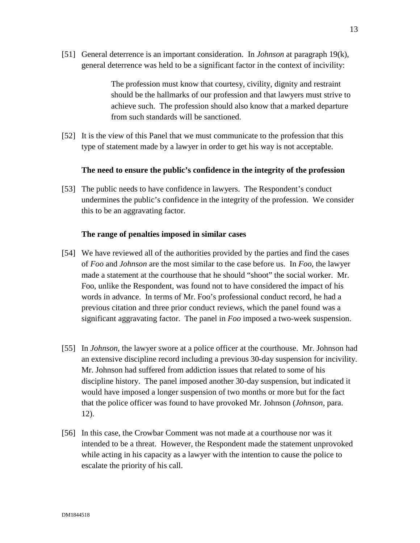[51] General deterrence is an important consideration. In *Johnson* at paragraph 19(k), general deterrence was held to be a significant factor in the context of incivility:

> The profession must know that courtesy, civility, dignity and restraint should be the hallmarks of our profession and that lawyers must strive to achieve such. The profession should also know that a marked departure from such standards will be sanctioned.

[52] It is the view of this Panel that we must communicate to the profession that this type of statement made by a lawyer in order to get his way is not acceptable.

### **The need to ensure the public's confidence in the integrity of the profession**

[53] The public needs to have confidence in lawyers. The Respondent's conduct undermines the public's confidence in the integrity of the profession. We consider this to be an aggravating factor.

### **The range of penalties imposed in similar cases**

- [54] We have reviewed all of the authorities provided by the parties and find the cases of *Foo* and *Johnson* are the most similar to the case before us. In *Foo*, the lawyer made a statement at the courthouse that he should "shoot" the social worker. Mr. Foo, unlike the Respondent, was found not to have considered the impact of his words in advance. In terms of Mr. Foo's professional conduct record, he had a previous citation and three prior conduct reviews, which the panel found was a significant aggravating factor. The panel in *Foo* imposed a two-week suspension.
- [55] In *Johnson*, the lawyer swore at a police officer at the courthouse. Mr. Johnson had an extensive discipline record including a previous 30-day suspension for incivility. Mr. Johnson had suffered from addiction issues that related to some of his discipline history. The panel imposed another 30-day suspension, but indicated it would have imposed a longer suspension of two months or more but for the fact that the police officer was found to have provoked Mr. Johnson (*Johnson,* para. 12).
- [56] In this case, the Crowbar Comment was not made at a courthouse nor was it intended to be a threat. However, the Respondent made the statement unprovoked while acting in his capacity as a lawyer with the intention to cause the police to escalate the priority of his call.